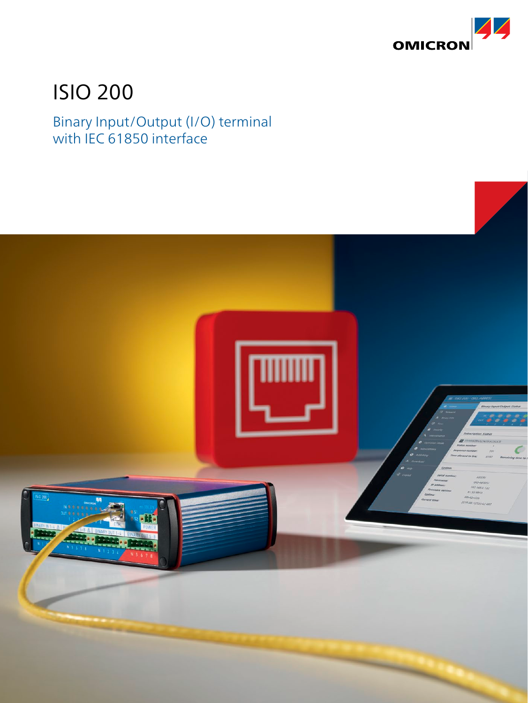

# ISIO 200

## Binary Input/Output (I/O) terminal with IEC 61850 interface

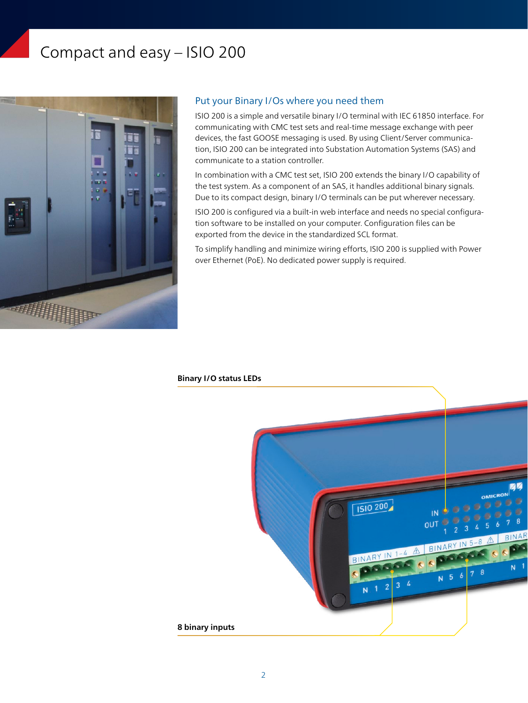## Compact and easy – ISIO 200



### Put your Binary I/Os where you need them

ISIO 200 is a simple and versatile binary I/O terminal with IEC 61850 interface. For communicating with CMC test sets and real-time message exchange with peer devices, the fast GOOSE messaging is used. By using Client/Server communication, ISIO 200 can be integrated into Substation Automation Systems (SAS) and communicate to a station controller.

In combination with a CMC test set, ISIO 200 extends the binary I/O capability of the test system. As a component of an SAS, it handles additional binary signals. Due to its compact design, binary I/O terminals can be put wherever necessary.

ISIO 200 is configured via a built-in web interface and needs no special configuration software to be installed on your computer. Configuration files can be exported from the device in the standardized SCL format.

To simplify handling and minimize wiring efforts, ISIO 200 is supplied with Power over Ethernet (PoE). No dedicated power supply is required.

#### **Binary I/O status LEDs**

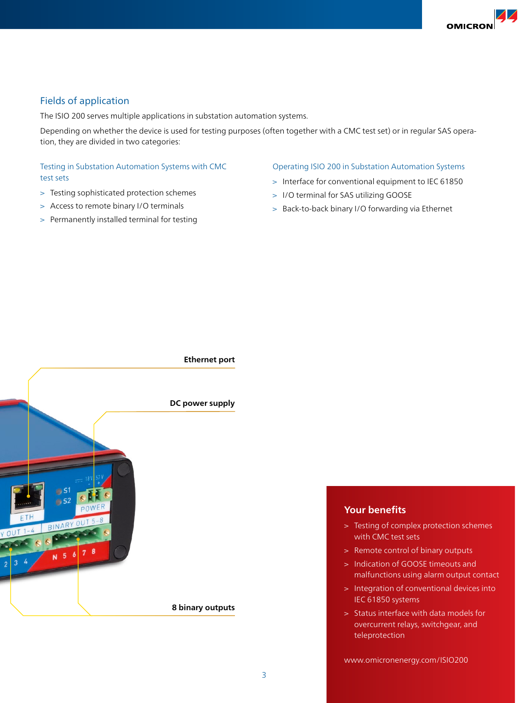### Fields of application

The ISIO 200 serves multiple applications in substation automation systems.

Depending on whether the device is used for testing purposes (often together with a CMC test set) or in regular SAS operation, they are divided in two categories:

#### Testing in Substation Automation Systems with CMC test sets

- > Testing sophisticated protection schemes
- > Access to remote binary I/O terminals
- > Permanently installed terminal for testing

#### Operating ISIO 200 in Substation Automation Systems

- > Interface for conventional equipment to IEC 61850
- > I/O terminal for SAS utilizing GOOSE
- > Back-to-back binary I/O forwarding via Ethernet



### **Your benefits**

- > Testing of complex protection schemes with CMC test sets
- > Remote control of binary outputs
- > Indication of GOOSE timeouts and malfunctions using alarm output contact
- > Integration of conventional devices into IEC 61850 systems
- > Status interface with data models for overcurrent relays, switchgear, and teleprotection

www.omicronenergy.com/ISIO200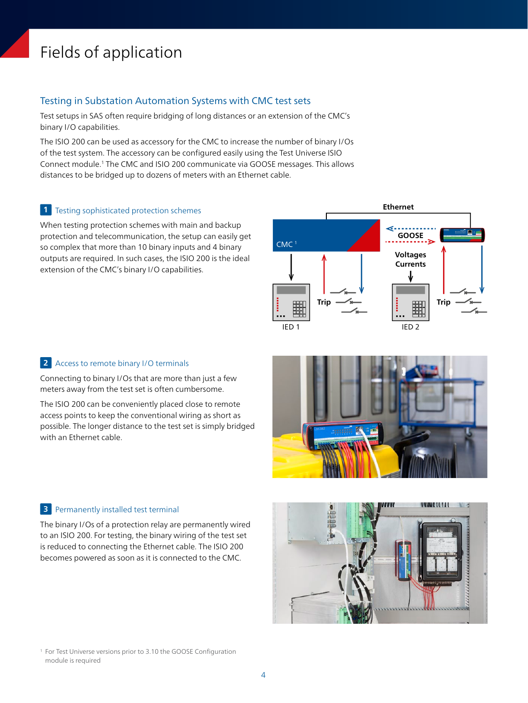## Fields of application

#### Testing in Substation Automation Systems with CMC test sets

Test setups in SAS often require bridging of long distances or an extension of the CMC's binary I/O capabilities.

The ISIO 200 can be used as accessory for the CMC to increase the number of binary I/Os of the test system. The accessory can be configured easily using the Test Universe ISIO Connect module.1 The CMC and ISIO 200 communicate via GOOSE messages. This allows distances to be bridged up to dozens of meters with an Ethernet cable.

#### **1** Testing sophisticated protection schemes

When testing protection schemes with main and backup protection and telecommunication, the setup can easily get so complex that more than 10 binary inputs and 4 binary outputs are required. In such cases, the ISIO 200 is the ideal extension of the CMC's binary I/O capabilities.



#### Access to remote binary I/O terminals **2**

Connecting to binary I/Os that are more than just a few meters away from the test set is often cumbersome.

The ISIO 200 can be conveniently placed close to remote access points to keep the conventional wiring as short as possible. The longer distance to the test set is simply bridged with an Ethernet cable.

#### Permanently installed test terminal **3**

The binary I/Os of a protection relay are permanently wired to an ISIO 200. For testing, the binary wiring of the test set is reduced to connecting the Ethernet cable. The ISIO 200 becomes powered as soon as it is connected to the CMC.



<sup>1</sup> For Test Universe versions prior to 3.10 the GOOSE Configuration module is required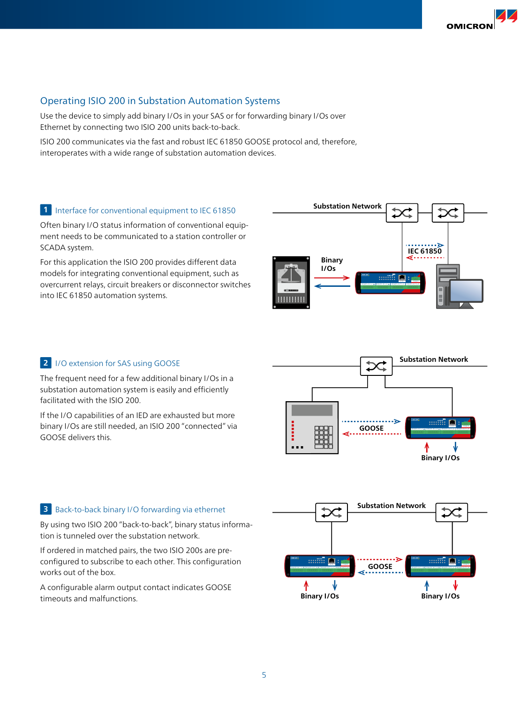**OMICRO** 

### Operating ISIO 200 in Substation Automation Systems

Use the device to simply add binary I/Os in your SAS or for forwarding binary I/Os over Ethernet by connecting two ISIO 200 units back-to-back.

ISIO 200 communicates via the fast and robust IEC 61850 GOOSE protocol and, therefore, interoperates with a wide range of substation automation devices.

#### 1 Interface for conventional equipment to IEC 61850

Often binary I/O status information of conventional equipment needs to be communicated to a station controller or SCADA system.

For this application the ISIO 200 provides different data models for integrating conventional equipment, such as overcurrent relays, circuit breakers or disconnector switches into IEC 61850 automation systems.

#### **2** I/O extension for SAS using GOOSE

The frequent need for a few additional binary I/Os in a substation automation system is easily and efficiently facilitated with the ISIO 200.

If the I/O capabilities of an IED are exhausted but more binary I/Os are still needed, an ISIO 200 "connected" via GOOSE delivers this.





#### **3** Back-to-back binary I/O forwarding via ethernet

By using two ISIO 200 "back-to-back", binary status information is tunneled over the substation network.

If ordered in matched pairs, the two ISIO 200s are preconfigured to subscribe to each other. This configuration works out of the box.

A configurable alarm output contact indicates GOOSE timeouts and malfunctions.

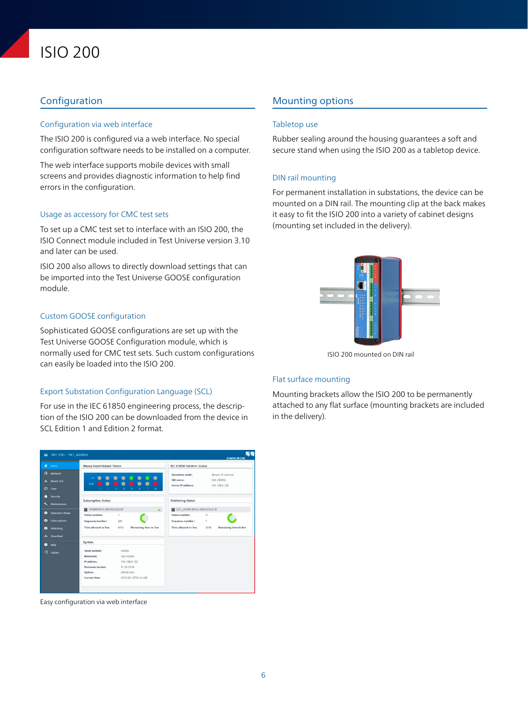## ISIO 200

#### Configuration via web interface

The ISIO 200 is configured via a web interface. No special configuration software needs to be installed on a computer.

The web interface supports mobile devices with small screens and provides diagnostic information to help find errors in the configuration.

#### Usage as accessory for CMC test sets

To set up a CMC test set to interface with an ISIO 200, the ISIO Connect module included in Test Universe version 3.10 and later can be used.

ISIO 200 also allows to directly download settings that can be imported into the Test Universe GOOSE configuration module.

#### Custom GOOSE configuration

Sophisticated GOOSE configurations are set up with the Test Universe GOOSE Configuration module, which is normally used for CMC test sets. Such custom configurations can easily be loaded into the ISIO 200.

#### Export Substation Configuration Language (SCL)

For use in the IEC 61850 engineering process, the description of the ISIO 200 can be downloaded from the device in SCL Edition 1 and Edition 2 format.

#### $\equiv$  ISIO 200 - ISIO **Rinary Input/Output Status** IEC 61850 Services Status  $\overline{a}$  Network  $\ddot{\bullet}$ **IED** name: ISIO AEOOS 192 168 0 132  $\cdots$  in which  $\cdots$  $Q_{\text{Time}}$ **A** Securit **Publishing Status** intion Status XY998ZBX/LLN0\$GO\$GCB **B** ISIO\_AE005JE  $\bullet$  $\overline{\mathbf{z}}$ c  $231$ Time allowed to live 8192 Time allowed to live  $\triangle$  Dow  $\bullet$  Help System  $-1$ **IP** address 192.168.0.132 91.50.9910 Current time 2015-09-12720-42-48

Easy configuration via web interface

### **Configuration Configuration** Configuration Configuration Configuration Configuration Configuration Configuration

#### Tabletop use

Rubber sealing around the housing guarantees a soft and secure stand when using the ISIO 200 as a tabletop device.

#### DIN rail mounting

For permanent installation in substations, the device can be mounted on a DIN rail. The mounting clip at the back makes it easy to fit the ISIO 200 into a variety of cabinet designs (mounting set included in the delivery).



ISIO 200 mounted on DIN rail

#### Flat surface mounting

Mounting brackets allow the ISIO 200 to be permanently attached to any flat surface (mounting brackets are included in the delivery).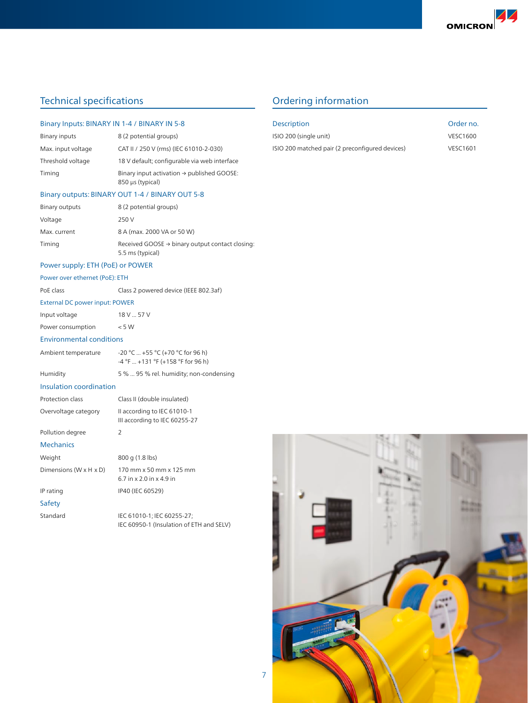## Technical specifications Technical specifications and Dividends Australian Context of Dividends Australian Context of Dividends Australian Context of Technical specifications and Dividends Australian Context of Dividends A

#### Binary Inputs: BINARY IN 1-4 / BINARY IN 5-8

| Binary inputs      | 8 (2 potential groups)                                                     |
|--------------------|----------------------------------------------------------------------------|
| Max. input voltage | CAT II / 250 V (rms) (IEC 61010-2-030)                                     |
| Threshold voltage  | 18 V default; configurable via web interface                               |
| Timing             | Binary input activation $\rightarrow$ published GOOSE:<br>850 µs (typical) |

#### Binary outputs: BINARY OUT 1-4 / BINARY OUT 5-8

| Binary outputs | 8 (2 potential groups)                                                          |
|----------------|---------------------------------------------------------------------------------|
| Voltage        | 250 V                                                                           |
| Max. current   | 8 A (max. 2000 VA or 50 W)                                                      |
| Timing         | Received GOOSE $\rightarrow$ binary output contact closing:<br>5.5 ms (typical) |

#### Power supply: ETH (PoE) or POWER

#### Power over ethernet (PoE): ETH

| PoE class | Class 2 powered device (IEEE 802.3af) |
|-----------|---------------------------------------|
|           |                                       |

#### External DC power input: POWER

| Input voltage | 18 V  57 V |
|---------------|------------|
|               |            |

Power consumption < 5 W

#### Environmental conditions

| Ambient temperature | $-20$ °C  +55 °C (+70 °C for 96 h)<br>$-4$ °F  +131 °F (+158 °F for 96 h) |
|---------------------|---------------------------------------------------------------------------|
| Humidity            | 5 %  95 % rel. humidity; non-condensing                                   |

|  |  |  | Insulation coordination |
|--|--|--|-------------------------|
|--|--|--|-------------------------|

| Protection class                     | Class II (double insulated)                                  |
|--------------------------------------|--------------------------------------------------------------|
| Overvoltage category                 | Il according to IEC 61010-1<br>III according to IEC 60255-27 |
| Pollution degree                     | $\mathcal{L}$                                                |
| <b>Mechanics</b>                     |                                                              |
| Weight                               | 800 g (1.8 lbs)                                              |
| Dimensions ( $W \times H \times D$ ) | 170 mm x 50 mm x 125 mm<br>$67$ in x $20$ in x 49 in         |
| IP rating                            | IP40 (IEC 60529)                                             |
| Safety                               |                                                              |

| Standard | IEC 61010-1; IEC 60255-27;               |
|----------|------------------------------------------|
|          | IEC 60950-1 (Insulation of ETH and SELV) |

| <b>Description</b>                              | Order no.       |
|-------------------------------------------------|-----------------|
| ISIO 200 (single unit)                          | <b>VESC1600</b> |
| ISIO 200 matched pair (2 preconfigured devices) | <b>VESC1601</b> |